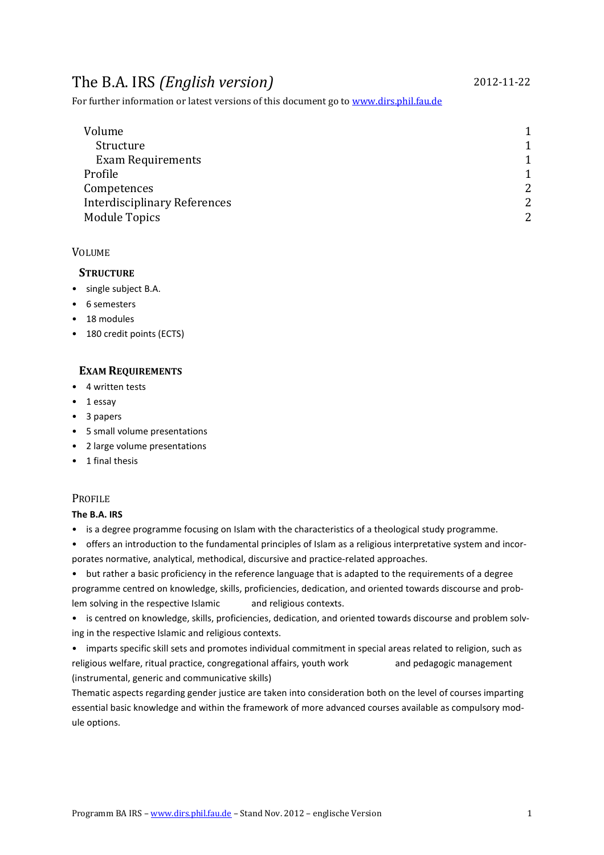# The B.A. IRS *(English version)* 2012-11-22

For further information or latest versions of this document go to www.dirs.phil.fau.de

| Volume                              | 1              |
|-------------------------------------|----------------|
| Structure                           | 1              |
| <b>Exam Requirements</b>            |                |
| Profile                             |                |
| Competences                         | $\overline{2}$ |
| <b>Interdisciplinary References</b> | $\overline{2}$ |
| <b>Module Topics</b>                | $\overline{2}$ |

## VOLUME

## **STRUCTURE**

- single subject B.A.
- 6 semesters
- 18 modules
- 180 credit points (ECTS)

## **EXAM REQUIREMENTS**

- 4 written tests
- 1 essay
- 3 papers
- 5 small volume presentations
- 2 large volume presentations
- 1 final thesis

## **PROFILE**

## **The B.A. IRS**

- is a degree programme focusing on Islam with the characteristics of a theological study programme.
- offers an introduction to the fundamental principles of Islam as a religious interpretative system and incorporates normative, analytical, methodical, discursive and practice-related approaches.

• but rather a basic proficiency in the reference language that is adapted to the requirements of a degree programme centred on knowledge, skills, proficiencies, dedication, and oriented towards discourse and problem solving in the respective Islamic and religious contexts.

• is centred on knowledge, skills, proficiencies, dedication, and oriented towards discourse and problem solving in the respective Islamic and religious contexts.

• imparts specific skill sets and promotes individual commitment in special areas related to religion, such as religious welfare, ritual practice, congregational affairs, youth work and pedagogic management (instrumental, generic and communicative skills)

Thematic aspects regarding gender justice are taken into consideration both on the level of courses imparting essential basic knowledge and within the framework of more advanced courses available as compulsory module options.